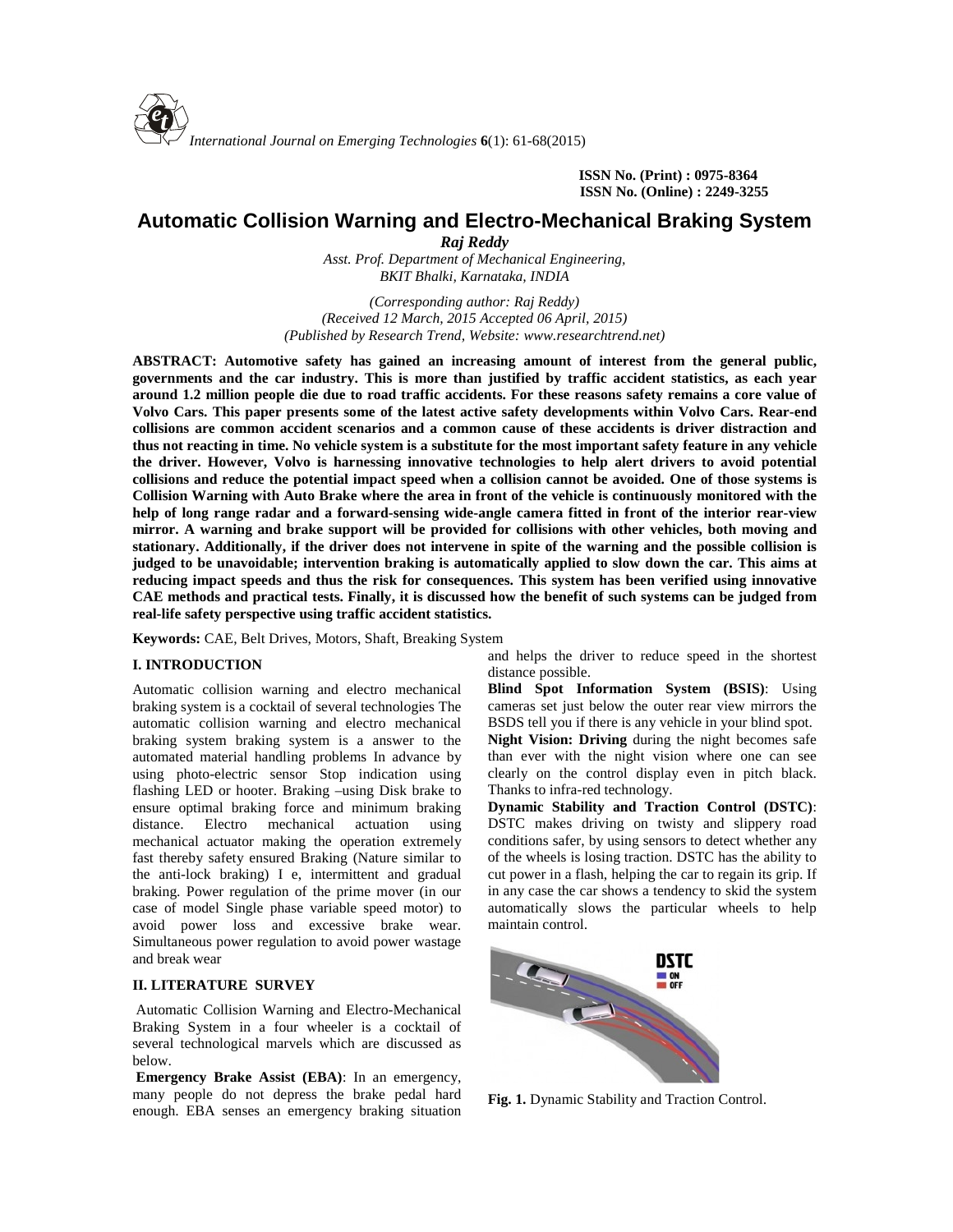**ISSN No. (Print) : 0975-8364 ISSN No. (Online) : 2249-3255**

# **Automatic Collision Warning and Electro-Mechanical Braking System**

*Raj Reddy Asst. Prof. Department of Mechanical Engineering, BKIT Bhalki, Karnataka, INDIA*

*(Corresponding author: Raj Reddy) (Received 12 March, 2015 Accepted 06 April, 2015) (Published by Research Trend, Website: <www.researchtrend.net>)*

**ABSTRACT: Automotive safety has gained an increasing amount of interest from the general public, governments and the car industry. This is more than justified by traffic accident statistics, as each year around 1.2 million people die due to road traffic accidents. For these reasons safety remains a core value of Volvo Cars. This paper presents some of the latest active safety developments within Volvo Cars. Rear-end collisions are common accident scenarios and a common cause of these accidents is driver distraction and thus not reacting in time. No vehicle system is a substitute for the most important safety feature in any vehicle the driver. However, Volvo is harnessing innovative technologies to help alert drivers to avoid potential collisions and reduce the potential impact speed when a collision cannot be avoided. One of those systems is Collision Warning with Auto Brake where the area in front of the vehicle is continuously monitored with the help of long range radar and a forward-sensing wide-angle camera fitted in front of the interior rear-view mirror. A warning and brake support will be provided for collisions with other vehicles, both moving and stationary. Additionally, if the driver does not intervene in spite of the warning and the possible collision is judged to be unavoidable; intervention braking is automatically applied to slow down the car. This aims at reducing impact speeds and thus the risk for consequences. This system has been verified using innovative CAE methods and practical tests. Finally, it is discussed how the benefit of such systems can be judged from real-life safety perspective using traffic accident statistics.**

**Keywords:** CAE, Belt Drives, Motors, Shaft, Breaking System

## **I. INTRODUCTION**

Automatic collision warning and electro mechanical braking system is a cocktail of several technologies The automatic collision warning and electro mechanical braking system braking system is a answer to the automated material handling problems In advance by using photo-electric sensor Stop indication using flashing LED or hooter. Braking –using Disk brake to ensure optimal braking force and minimum braking distance. Electro mechanical actuation using mechanical actuator making the operation extremely fast thereby safety ensured Braking (Nature similar to the anti-lock braking) I e, intermittent and gradual braking. Power regulation of the prime mover (in our case of model Single phase variable speed motor) to avoid power loss and excessive brake wear. Simultaneous power regulation to avoid power wastage and break wear

## **II. LITERATURE SURVEY**

Automatic Collision Warning and Electro-Mechanical Braking System in a four wheeler is a cocktail of several technological marvels which are discussed as below.

**Emergency Brake Assist (EBA)**: In an emergency, many people do not depress the brake pedal hard enough. EBA senses an emergency braking situation

and helps the driver to reduce speed in the shortest distance possible.

**Blind Spot Information System (BSIS)**: Using cameras set just below the outer rear view mirrors the BSDS tell you if there is any vehicle in your blind spot. **Night Vision: Driving** during the night becomes safe than ever with the night vision where one can see clearly on the control display even in pitch black. Thanks to infra-red technology.

**Dynamic Stability and Traction Control (DSTC)**: DSTC makes driving on twisty and slippery road conditions safer, by using sensors to detect whether any of the wheels is losing traction. DSTC has the ability to cut power in a flash, helping the car to regain its grip. If in any case the car shows a tendency to skid the system automatically slows the particular wheels to help maintain control.



**Fig. 1.** Dynamic Stability and Traction Control.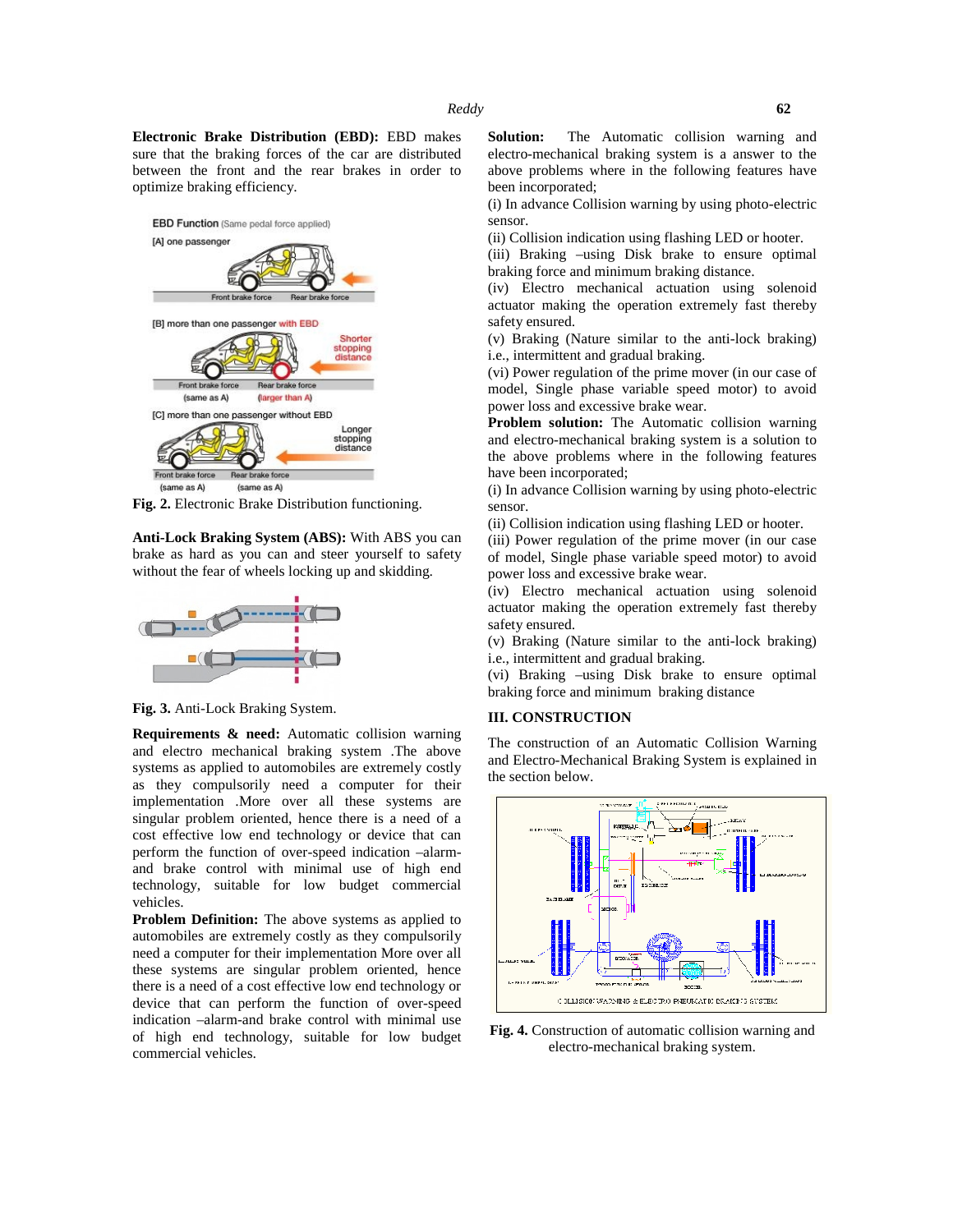**Electronic Brake Distribution (EBD):** EBD makes sure that the braking forces of the car are distributed between the front and the rear brakes in order to optimize braking efficiency.



**Fig. 2.** Electronic Brake Distribution functioning.

**Anti-Lock Braking System (ABS):** With ABS you can brake as hard as you can and steer yourself to safety without the fear of wheels locking up and skidding.



**Fig. 3.** Anti-Lock Braking System.

**Requirements & need:** Automatic collision warning and electro mechanical braking system .The above systems as applied to automobiles are extremely costly as they compulsorily need a computer for their implementation .More over all these systems are singular problem oriented, hence there is a need of a cost effective low end technology or device that can perform the function of over-speed indication –alarm and brake control with minimal use of high end technology, suitable for low budget commercial vehicles.

**Problem Definition:** The above systems as applied to automobiles are extremely costly as they compulsorily need a computer for their implementation More over all these systems are singular problem oriented, hence there is a need of a cost effective low end technology or device that can perform the function of over-speed indication –alarm-and brake control with minimal use of high end technology, suitable for low budget commercial vehicles.

The Automatic collision warning and electro-mechanical braking system is a answer to the above problems where in the following features have been incorporated;

(i) In advance Collision warning by using photo-electric sensor.

(ii) Collision indication using flashing LED or hooter.

(iii) Braking –using Disk brake to ensure optimal braking force and minimum braking distance.

(iv) Electro mechanical actuation using solenoid actuator making the operation extremely fast thereby safety ensured.

(v) Braking (Nature similar to the anti-lock braking) i.e., intermittent and gradual braking.

(vi) Power regulation of the prime mover (in our case of model, Single phase variable speed motor) to avoid power loss and excessive brake wear.

**Problem solution:** The Automatic collision warning and electro-mechanical braking system is a solution to the above problems where in the following features have been incorporated;

(i) In advance Collision warning by using photo-electric sensor.

(ii) Collision indication using flashing LED or hooter.

(iii) Power regulation of the prime mover (in our case of model, Single phase variable speed motor) to avoid power loss and excessive brake wear.

(iv) Electro mechanical actuation using solenoid actuator making the operation extremely fast thereby safety ensured.

(v) Braking (Nature similar to the anti-lock braking) i.e., intermittent and gradual braking.

(vi) Braking –using Disk brake to ensure optimal braking force and minimum braking distance

## **III. CONSTRUCTION**

The construction of an Automatic Collision Warning and Electro-Mechanical Braking System is explained in the section below.



**Fig. 4.** Construction of automatic collision warning and electro-mechanical braking system.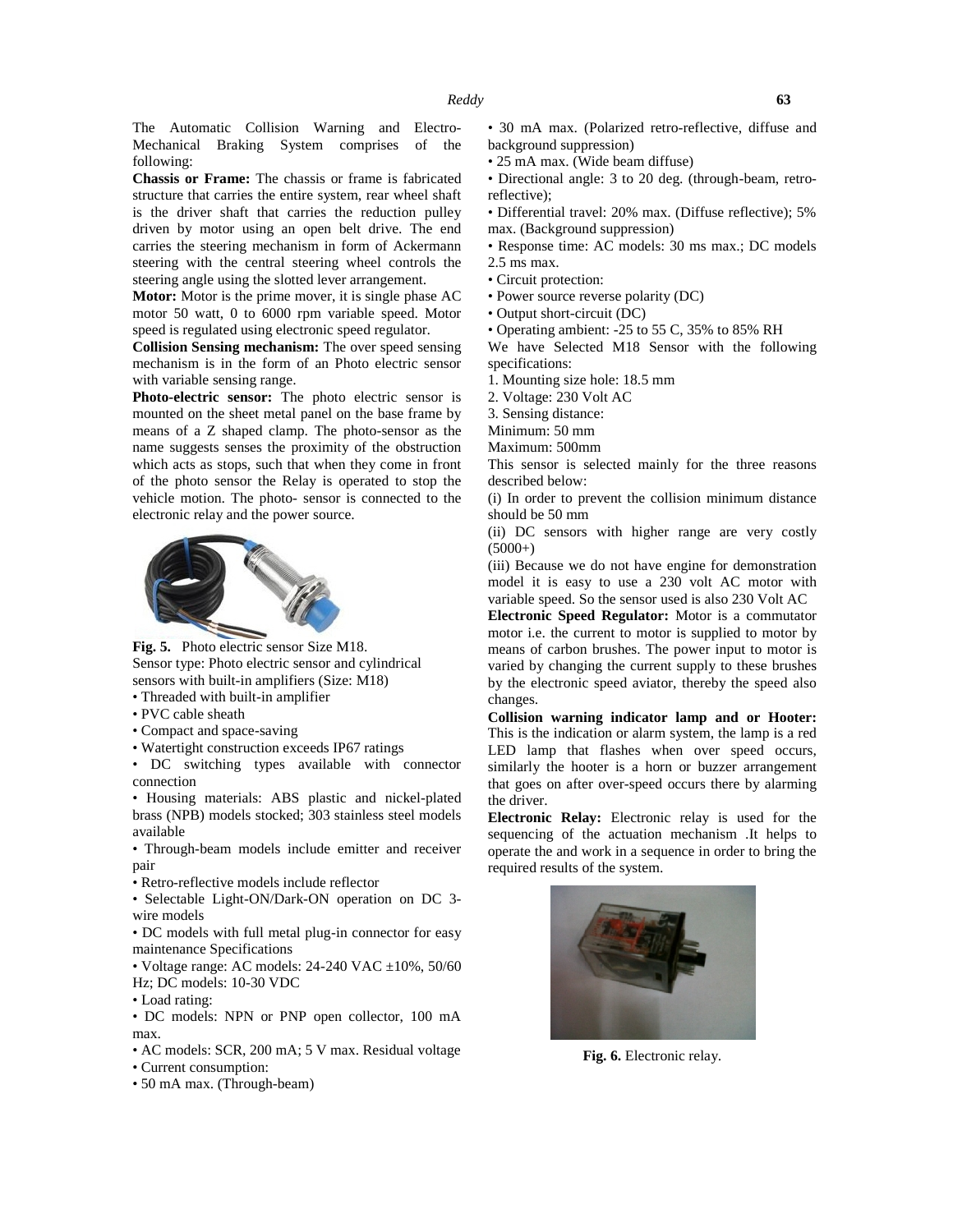The Automatic Collision Warning and Electro- Mechanical Braking System comprises of the following:

**Chassis or Frame:** The chassis or frame is fabricated structure that carries the entire system, rear wheel shaft is the driver shaft that carries the reduction pulley driven by motor using an open belt drive. The end carries the steering mechanism in form of Ackermann steering with the central steering wheel controls the steering angle using the slotted lever arrangement.

**Motor:** Motor is the prime mover, it is single phase AC motor 50 watt, 0 to 6000 rpm variable speed. Motor speed is regulated using electronic speed regulator.

**Collision Sensing mechanism:** The over speed sensing mechanism is in the form of an Photo electric sensor with variable sensing range.

**Photo-electric sensor:** The photo electric sensor is mounted on the sheet metal panel on the base frame by means of a Z shaped clamp. The photo-sensor as the name suggests senses the proximity of the obstruction which acts as stops, such that when they come in front of the photo sensor the Relay is operated to stop the vehicle motion. The photo- sensor is connected to the electronic relay and the power source.



**Fig. 5.** Photo electric sensor Size M18. Sensor type: Photo electric sensor and cylindrical sensors with built-in amplifiers (Size: M18)

- Threaded with built-in amplifier
- PVC cable sheath
- Compact and space-saving
- Watertight construction exceeds IP67 ratings

• DC switching types available with connector connection

• Housing materials: ABS plastic and nickel-plated brass (NPB) models stocked; 303 stainless steel models available

• Through-beam models include emitter and receiver pair

• Retro-reflective models include reflector

• Selectable Light-ON/Dark-ON operation on DC 3 wire models

• DC models with full metal plug-in connector for easy maintenance Specifications

• Voltage range: AC models:  $24-240$  VAC  $\pm 10$ %,  $50/60$ Hz; DC models: 10-30 VDC

• Load rating:

• DC models: NPN or PNP open collector, 100 mA max.

- AC models: SCR, 200 mA; 5 V max. Residual voltage
- Current consumption:
- 50 mA max. (Through-beam)
- 30 mA max. (Polarized retro-reflective, diffuse and background suppression)
- 25 mA max. (Wide beam diffuse)
- Directional angle: 3 to 20 deg. (through-beam, retroreflective);
- Differential travel: 20% max. (Diffuse reflective); 5% max. (Background suppression)
- Response time: AC models: 30 ms max.; DC models 2.5 ms max.
- Circuit protection:
- Power source reverse polarity (DC)
- Output short-circuit (DC)

• Operating ambient: -25 to 55 C, 35% to 85% RH

We have Selected M18 Sensor with the following specifications:

1. Mounting size hole: 18.5 mm

2. Voltage: 230 Volt AC

3. Sensing distance:

Minimum: 50 mm

Maximum: 500mm

This sensor is selected mainly for the three reasons described below:

(i) In order to prevent the collision minimum distance should be 50 mm

(ii) DC sensors with higher range are very costly  $(5000+)$ 

(iii) Because we do not have engine for demonstration model it is easy to use a 230 volt AC motor with variable speed. So the sensor used is also 230 Volt AC

**Electronic Speed Regulator:** Motor is a commutator motor i.e. the current to motor is supplied to motor by means of carbon brushes. The power input to motor is varied by changing the current supply to these brushes by the electronic speed aviator, thereby the speed also changes.

**Collision warning indicator lamp and or Hooter:** This is the indication or alarm system, the lamp is a red LED lamp that flashes when over speed occurs, similarly the hooter is a horn or buzzer arrangement that goes on after over-speed occurs there by alarming the driver.

**Electronic Relay:** Electronic relay is used for the sequencing of the actuation mechanism .It helps to operate the and work in a sequence in order to bring the required results of the system.



**Fig. 6.** Electronic relay.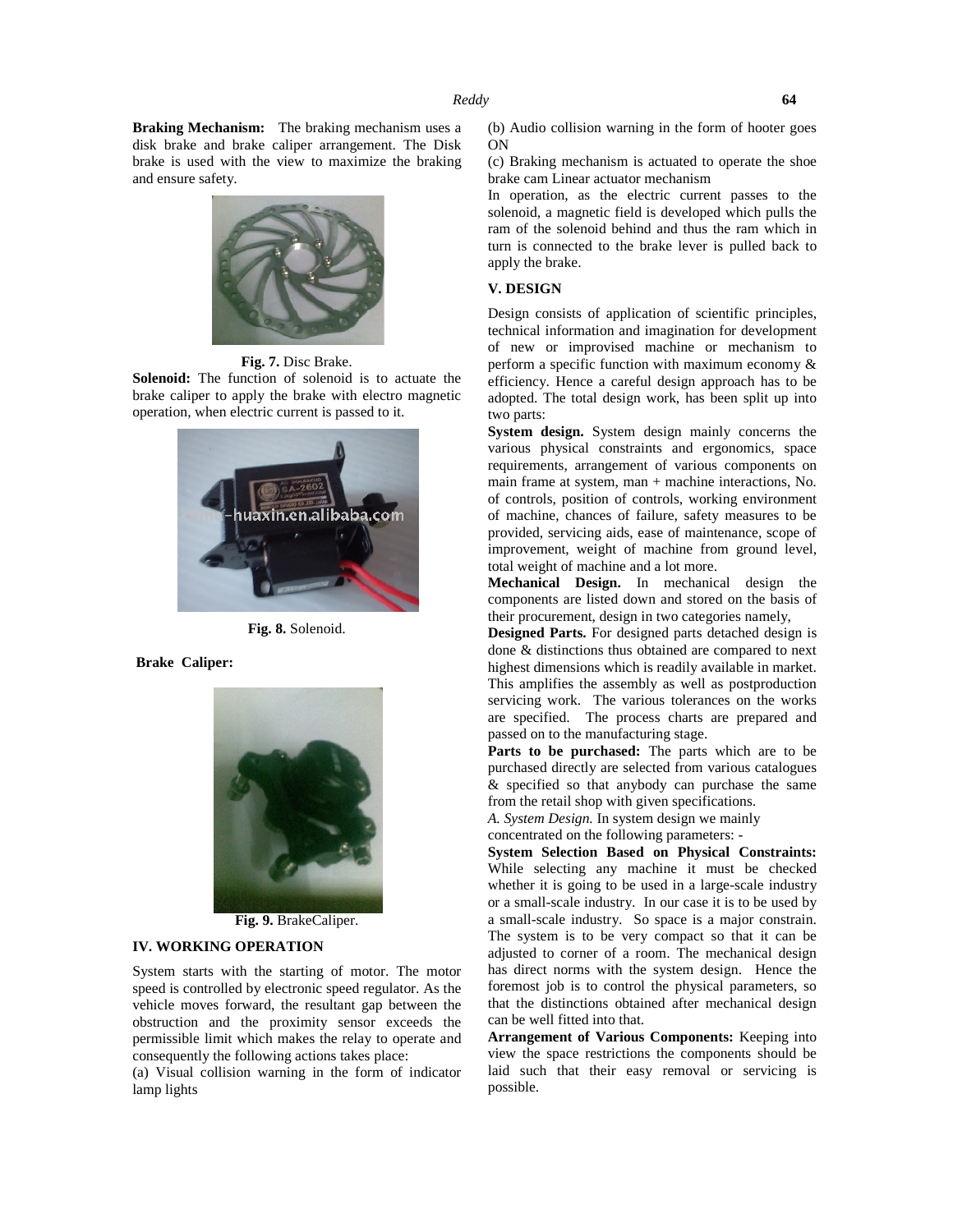**Braking Mechanism:** The braking mechanism uses a disk brake and brake caliper arrangement. The Disk brake is used with the view to maximize the braking and ensure safety.



**Fig. 7.** Disc Brake.

**Solenoid:** The function of solenoid is to actuate the brake caliper to apply the brake with electro magnetic operation, when electric current is passed to it.



**Fig. 8.** Solenoid.

**Brake Caliper:**



**Fig. 9.** BrakeCaliper.

#### **IV. WORKING OPERATION**

System starts with the starting of motor. The motor speed is controlled by electronic speed regulator. As the vehicle moves forward, the resultant gap between the obstruction and the proximity sensor exceeds the permissible limit which makes the relay to operate and consequently the following actions takes place:

(a) Visual collision warning in the form of indicator lamp lights

(b) Audio collision warning in the form of hooter goes ON

(c) Braking mechanism is actuated to operate the shoe brake cam Linear actuator mechanism

In operation, as the electric current passes to the solenoid, a magnetic field is developed which pulls the ram of the solenoid behind and thus the ram which in turn is connected to the brake lever is pulled back to apply the brake.

#### **V. DESIGN**

Design consists of application of scientific principles, technical information and imagination for development of new or improvised machine or mechanism to perform a specific function with maximum economy & efficiency. Hence a careful design approach has to be adopted. The total design work, has been split up into two parts:

**System design.** System design mainly concerns the various physical constraints and ergonomics, space requirements, arrangement of various components on main frame at system, man + machine interactions, No. of controls, position of controls, working environment of machine, chances of failure, safety measures to be provided, servicing aids, ease of maintenance, scope of improvement, weight of machine from ground level, total weight of machine and a lot more.

**Mechanical Design.** In mechanical design the components are listed down and stored on the basis of their procurement, design in two categories namely,

**Designed Parts.** For designed parts detached design is done & distinctions thus obtained are compared to next highest dimensions which is readily available in market. This amplifies the assembly as well as postproduction servicing work. The various tolerances on the works are specified. The process charts are prepared and passed on to the manufacturing stage.

**Parts to be purchased:** The parts which are to be purchased directly are selected from various catalogues & specified so that anybody can purchase the same from the retail shop with given specifications.

*A. System Design.* In system design we mainly

concentrated on the following parameters: -

**System Selection Based on Physical Constraints:** While selecting any machine it must be checked whether it is going to be used in a large-scale industry or a small-scale industry. In our case it is to be used by a small-scale industry. So space is a major constrain. The system is to be very compact so that it can be adjusted to corner of a room. The mechanical design has direct norms with the system design. Hence the foremost job is to control the physical parameters, so that the distinctions obtained after mechanical design can be well fitted into that.

**Arrangement of Various Components:** Keeping into view the space restrictions the components should be laid such that their easy removal or servicing is possible.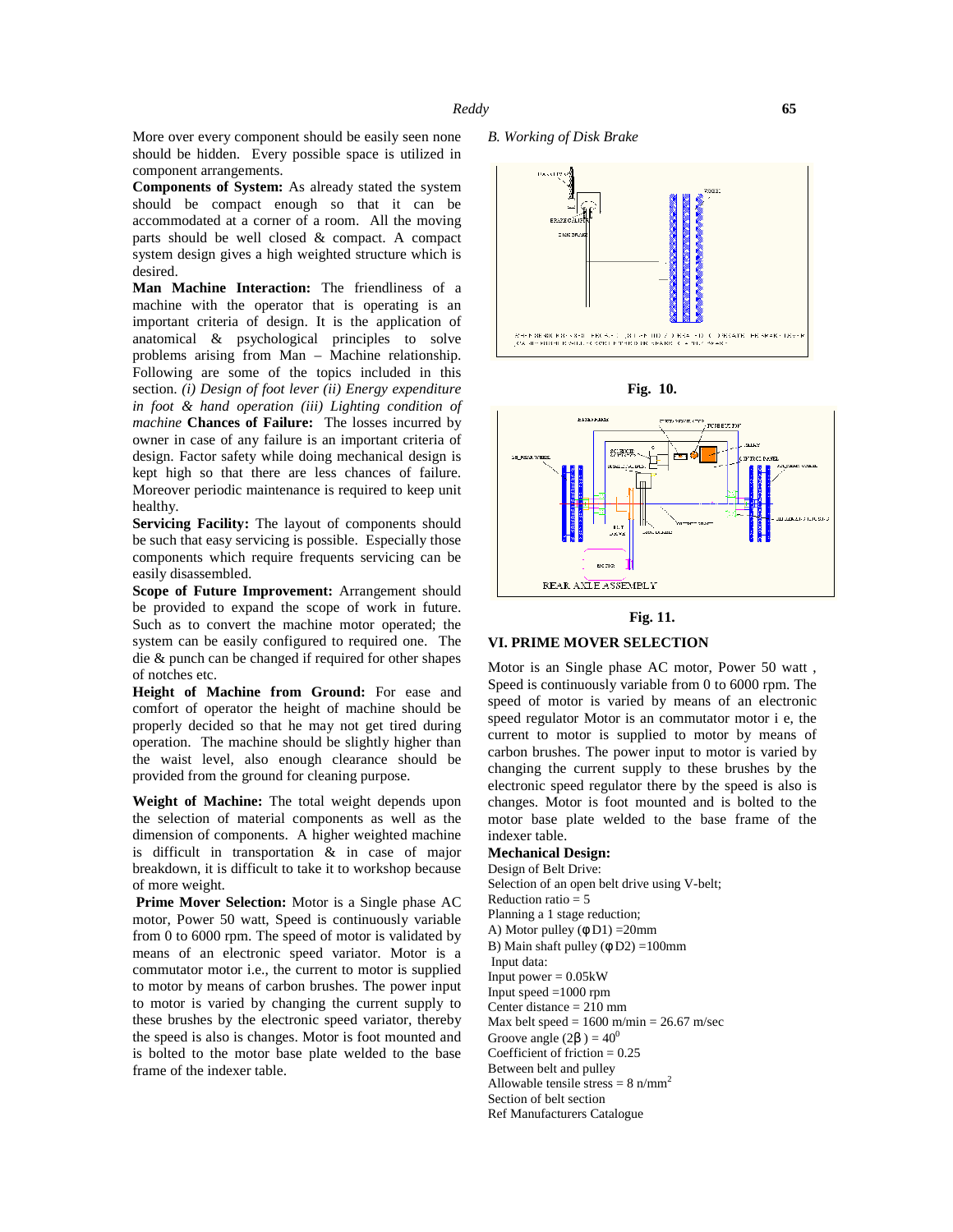More over every component should be easily seen none should be hidden. Every possible space is utilized in component arrangements.

**Components of System:** As already stated the system should be compact enough so that it can be accommodated at a corner of a room. All the moving parts should be well closed & compact. A compact system design gives a high weighted structure which is desired.

**Man Machine Interaction:** The friendliness of a machine with the operator that is operating is an important criteria of design. It is the application of anatomical & psychological principles to solve problems arising from Man – Machine relationship. Following are some of the topics included in this section. *(i) Design of foot lever (ii) Energy expenditure in foot & hand operation (iii) Lighting condition of machine* **Chances of Failure:** The losses incurred by owner in case of any failure is an important criteria of design. Factor safety while doing mechanical design is kept high so that there are less chances of failure. Moreover periodic maintenance is required to keep unit healthy.

**Servicing Facility:** The layout of components should be such that easy servicing is possible. Especially those components which require frequents servicing can be easily disassembled.

**Scope of Future Improvement:** Arrangement should be provided to expand the scope of work in future. Such as to convert the machine motor operated; the system can be easily configured to required one. The die & punch can be changed if required for other shapes of notches etc.

**Height of Machine from Ground:** For ease and comfort of operator the height of machine should be properly decided so that he may not get tired during operation. The machine should be slightly higher than the waist level, also enough clearance should be provided from the ground for cleaning purpose.

**Weight of Machine:** The total weight depends upon the selection of material components as well as the dimension of components. A higher weighted machine is difficult in transportation & in case of major breakdown, it is difficult to take it to workshop because of more weight.

**Prime Mover Selection:** Motor is a Single phase AC motor, Power 50 watt, Speed is continuously variable from 0 to 6000 rpm. The speed of motor is validated by means of an electronic speed variator. Motor is a commutator motor i.e., the current to motor is supplied to motor by means of carbon brushes. The power input to motor is varied by changing the current supply to these brushes by the electronic speed variator, thereby the speed is also is changes. Motor is foot mounted and is bolted to the motor base plate welded to the base frame of the indexer table.

*B. Working of Disk Brake*



**Fig. 10.**



## **Fig. 11.**

## **VI. PRIME MOVER SELECTION**

Motor is an Single phase AC motor, Power 50 watt , Speed is continuously variable from 0 to 6000 rpm. The speed of motor is varied by means of an electronic speed regulator Motor is an commutator motor i e, the current to motor is supplied to motor by means of carbon brushes. The power input to motor is varied by changing the current supply to these brushes by the electronic speed regulator there by the speed is also is changes. Motor is foot mounted and is bolted to the motor base plate welded to the base frame of the indexer table.

#### **Mechanical Design:**

Design of Belt Drive: Selection of an open belt drive using V-belt; Reduction ratio  $= 5$ Planning a 1 stage reduction; A) Motor pulley  $(\phi \ D1) = 20$ mm B) Main shaft pulley ( $\phi$  D2) =100mm Input data: Input power  $= 0.05kW$ Input speed =1000 rpm Center distance  $= 210$  mm Max belt speed =  $1600$  m/min =  $26.67$  m/sec Groove angle (2 $\beta$ ) = 40<sup>0</sup> Coefficient of friction = 0.25 Between belt and pulley Allowable tensile stress =  $8 \text{ n/mm}^2$ Section of belt section

Ref Manufacturers Catalogue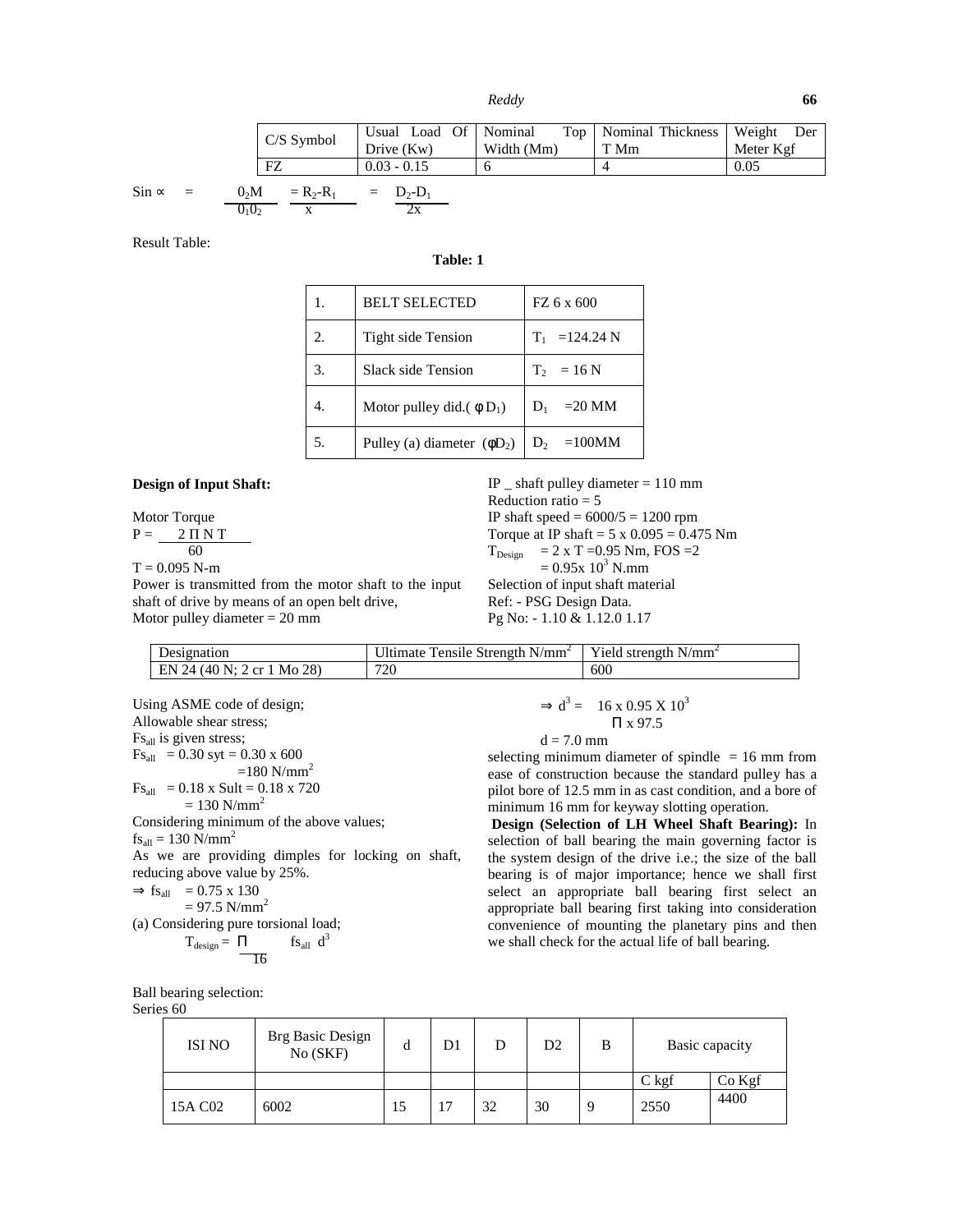*Reddy* **66**

|                      | $C/S$ Symbol     | Drive $(Kw)$         | Usual Load Of   Nominal<br>Width (Mm) | Top   Nominal Thickness   Weight<br>T Mm | Der<br>Meter Kgf |
|----------------------|------------------|----------------------|---------------------------------------|------------------------------------------|------------------|
|                      | FZ               | $0.03 - 0.15$        |                                       |                                          | 0.05             |
| $\sin \infty$<br>$=$ | 0 <sub>2</sub> M | $=R_2-R_1 = D_2-D_1$ |                                       |                                          |                  |

 $0_10_2$  x 2x

Result Table:

# **Table: 1**

|    | <b>BELT SELECTED</b>             | FZ 6 x 600           |
|----|----------------------------------|----------------------|
| 2. | <b>Tight side Tension</b>        | $T_1$ = 124.24 N     |
| 3. | Slack side Tension               | $T_2 = 16 N$         |
| 4. | Motor pulley did.( $\phi D_1$ )  | $=20$ MM<br>$D_1$    |
|    | Pulley (a) diameter $(\phi D_2)$ | $=100$ MM<br>$D_{2}$ |

#### **Design of Input Shaft:**

Motor Torque  $P = \frac{2 N T}{2}$ 60

 $T = 0.095$  N-m

Power is transmitted from the motor shaft to the input shaft of drive by means of an open belt drive, Motor pulley diameter  $= 20$  mm

IP  $\_$  shaft pulley diameter  $= 110$  mm Reduction ratio  $= 5$ IP shaft speed  $= 6000/5 = 1200$  rpm Torque at IP shaft =  $5 \times 0.095 = 0.475$  Nm  $T_{Design}$  = 2 x T = 0.95 Nm, FOS = 2  $= 0.95x 10<sup>3</sup> N/mm$ Selection of input shaft material Ref: - PSG Design Data. Pg No: - 1.10 & 1.12.0 1.17

| Designation                | Ultimate Tensile Strength $N/mm2$ | Yield strength $N/mm^2$ |
|----------------------------|-----------------------------------|-------------------------|
| EN 24 (40 N: 2 cr 1 Mo 28) | 720                               | 600                     |
|                            |                                   |                         |

Using ASME code of design; Allowable shear stress; F<sub>sall</sub> is given stress;  $Fs_{all} = 0.30 syt = 0.30 x 600$  $=180$  N/mm<sup>2</sup>  $Fs_{all} = 0.18 \times Sult = 0.18 \times 720$  $= 130$  N/mm<sup>2</sup> Considering minimum of the above values;  $fs<sub>all</sub> = 130 N/mm<sup>2</sup>$ As we are providing dimples for locking on shaft, reducing above value by 25%.  $\Rightarrow$  fs<sub>all</sub> = 0.75 x 130  $= 97.5$  N/mm<sup>2</sup> (a) Considering pure torsional load;  $T_{\text{design}} = \Pi$  fs<sub>all</sub> d<sup>3</sup>  $fs_{all} d^3$ 16

 $\Rightarrow$  d<sup>3</sup> = 16 x 0.95 X 10<sup>3</sup> Π x 97.5

 $d = 7.0$  mm

selecting minimum diameter of spindle  $= 16$  mm from ease of construction because the standard pulley has a pilot bore of 12.5 mm in as cast condition, and a bore of minimum 16 mm for keyway slotting operation.

**Design (Selection of LH Wheel Shaft Bearing):** In selection of ball bearing the main governing factor is the system design of the drive i.e.; the size of the ball bearing is of major importance; hence we shall first select an appropriate ball bearing first select an appropriate ball bearing first taking into consideration convenience of mounting the planetary pins and then we shall check for the actual life of ball bearing.

Ball bearing selection:

Series 60

| <b>ISI NO</b>       | Brg Basic Design<br>No (SKF) | d | D1             |    | D2 | B | Basic capacity |        |
|---------------------|------------------------------|---|----------------|----|----|---|----------------|--------|
|                     |                              |   |                |    |    |   | $C$ kgf        | Co Kgf |
| 15A C <sub>02</sub> | 6002                         |   | 1 <sub>7</sub> | 32 | 30 |   | 2550           | 4400   |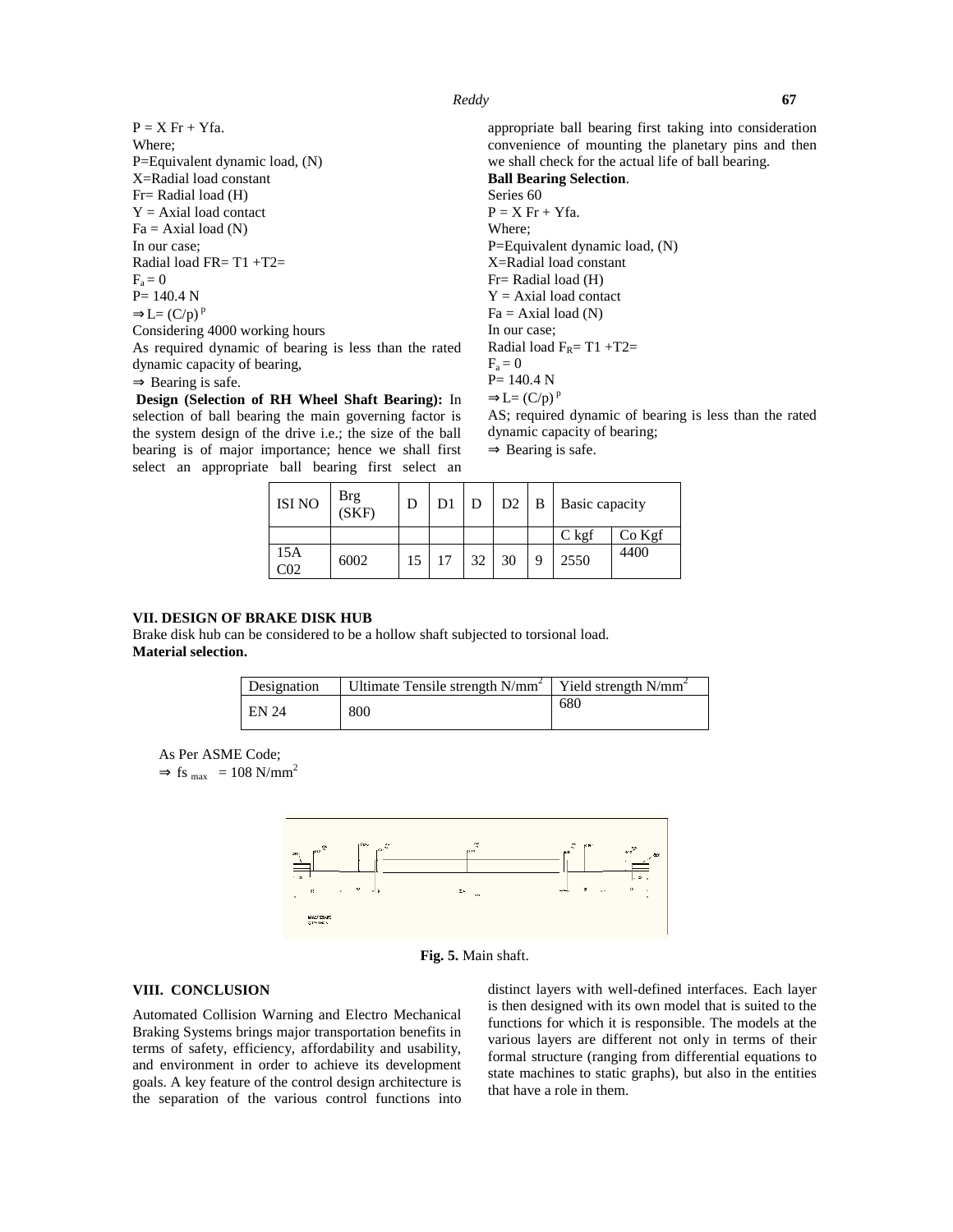*Reddy* **67**

| $P = X Fr + Yfa.$                                     | appro         |
|-------------------------------------------------------|---------------|
| Where:                                                | conve         |
| P=Equivalent dynamic load, (N)                        | we sh         |
| X=Radial load constant                                | <b>Ball</b>   |
| Fr= Radial load (H)                                   | Serie         |
| $Y = Axial load contact$                              | $P = \lambda$ |
| $Fa = Axial load (N)$                                 | Wher          |
| In our case;                                          | $P=Ec$        |
| Radial load FR= T1 +T2=                               | $X=R:$        |
| $F_a = 0$                                             | $Fr = F$      |
| P= 140.4 N                                            | $Y = A$       |
| $\Rightarrow L = (C/p)^p$                             | $Fa =$        |
| Considering 4000 working hours                        | In ou         |
| As required dynamic of bearing is less than the rated | Radia         |
| dynamic capacity of bearing,                          | $F_a = 0$     |
| $\Rightarrow$ Bearing is safe.                        | $P = 14$      |
| 0.727777<br>- -                                       |               |

**Design (Selection of RH Wheel Shaft Bearing):** In selection of ball bearing the main governing factor is the system design of the drive i.e.; the size of the ball bearing is of major importance; hence we shall first select an appropriate ball bearing first select an

opriate ball bearing first taking into consideration venience of mounting the planetary pins and then hall check for the actual life of ball bearing. **Bearing Selection.** Series 60  $X Fr + Yfa.$ re: quivalent dynamic load,  $(N)$ adial load constant Radial load (H) Axial load contact Axial load (N) In our case; al load  $F_R = T1 + T2=$  $F_a = 0$ 40.4 N  $\Rightarrow$ L=  $(C/p)^p$ 

AS; required dynamic of bearing is less than the rated dynamic capacity of bearing;

 $\Rightarrow$  Bearing is safe.

| <b>ISI NO</b> | Brg<br>(SKF) | D  | D1 | D  | $D2 \mid B$ |   | Basic capacity |          |
|---------------|--------------|----|----|----|-------------|---|----------------|----------|
|               |              |    |    |    |             |   | $C$ kgf        | $Co$ Kgf |
| 15A<br>202    | 6002         | 15 |    | 32 | 30          | Q | 2550           | 4400     |

## **VII. DESIGN OF BRAKE DISK HUB**

Brake disk hub can be considered to be a hollow shaft subjected to torsional load. **Material selection.**

| Designation | Ultimate Tensile strength $N/mm^2$ | Yield strength $N/mm^2$ |
|-------------|------------------------------------|-------------------------|
| EN 24       | 800                                | 680                     |

As Per ASME Code;  $\Rightarrow$  fs <sub>max</sub> = 108 N/mm<sup>2</sup>



**Fig. 5.** Main shaft.

#### **VIII. CONCLUSION**

Automated Collision Warning and Electro Mechanical Braking Systems brings major transportation benefits in terms of safety, efficiency, affordability and usability, and environment in order to achieve its development goals. A key feature of the control design architecture is the separation of the various control functions into distinct layers with well-defined interfaces. Each layer is then designed with its own model that is suited to the functions for which it is responsible. The models at the various layers are different not only in terms of their formal structure (ranging from differential equations to state machines to static graphs), but also in the entities that have a role in them.